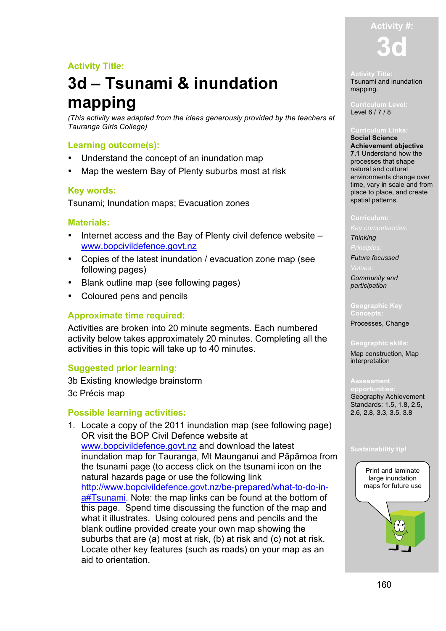

### **Activity Title:**

# **3d – Tsunami & inundation mapping**

*(This activity was adapted from the ideas generously provided by the teachers at Tauranga Girls College)*

### **Learning outcome(s):**

- Understand the concept of an inundation map
- Map the western Bay of Plenty suburbs most at risk

### **Key words:**

Tsunami; Inundation maps; Evacuation zones

### **Materials:**

- Internet access and the Bay of Plenty civil defence website www.bopcivildefence.govt.nz
- Copies of the latest inundation / evacuation zone map (see following pages)
- Blank outline map (see following pages)
- Coloured pens and pencils

### **Approximate time required:**

Activities are broken into 20 minute segments. Each numbered activity below takes approximately 20 minutes. Completing all the activities in this topic will take up to 40 minutes.

### **Suggested prior learning:**

3b Existing knowledge brainstorm 3c Précis map

### **Possible learning activities:**

1. Locate a copy of the 2011 inundation map (see following page) OR visit the BOP Civil Defence website at www.bopcivildefence.govt.nz and download the latest inundation map for Tauranga, Mt Maunganui and Pāpāmoa from the tsunami page (to access click on the tsunami icon on the natural hazards page or use the following link http://www.bopcivildefence.govt.nz/be-prepared/what-to-do-ina#Tsunami. Note: the map links can be found at the bottom of this page. Spend time discussing the function of the map and what it illustrates. Using coloured pens and pencils and the blank outline provided create your own map showing the suburbs that are (a) most at risk, (b) at risk and (c) not at risk. Locate other key features (such as roads) on your map as an aid to orientation.

#### **Activity Title:** Tsunami and inundation mapping.

Level 6 / 7 / 8

#### **Curriculum Links:**

**Social Science Achievement objective 7.1** Understand how the processes that shape natural and cultural environments change over time, vary in scale and from place to place, and create spatial patterns.

#### **Curriculum:**

*Thinking*

*Future focussed Community and participation*

**Geographic Key** 

## **Concepts:**

Processes, Change

#### **Geographic skills:**

Map construction, Map interpretation

#### **Assessment**

**opportunities:** Geography Achievement Standards: 1.5, 1.8, 2.5, 2.6, 2.8, 3.3, 3.5, 3.8

#### **Sustainability tip!**